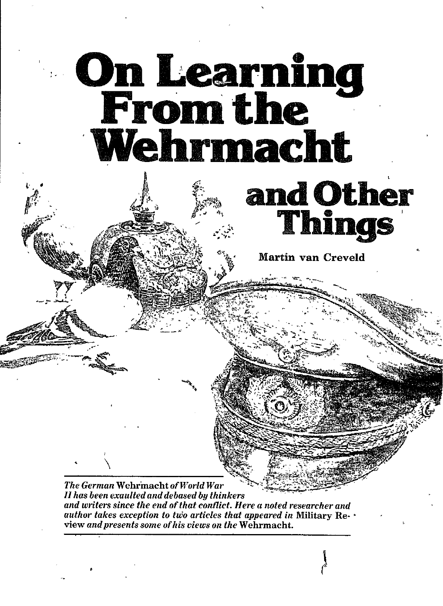

*and writers since the end ofthat c&ti'ict. Here a noted researcher and author takes exception to two articles that appeared in Military Re.* view *andpresents some ofliis uiews on the* Wehrmacht.

,

)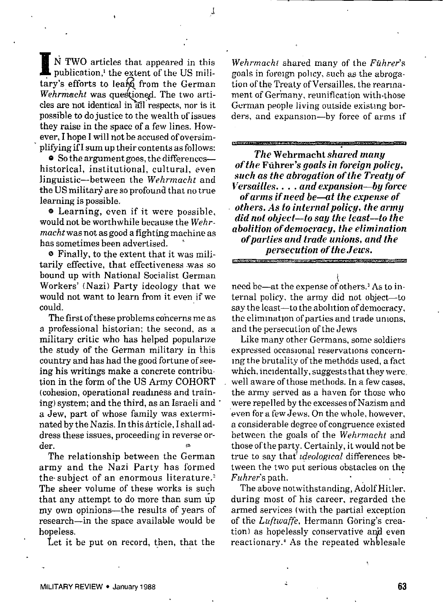**B** N TWO articles that appeared in this publication,<sup>1</sup> the extent of the US miltary's efforts to learn from the Germa N TWO articles that appeared in this publication,<sup>1</sup> the extent of the US milicles are not identical in all respects, nor is it Wehrmacht was questioned. The two artipossible to do justice to the wealth of issues they raise in the space of a few lines. However, I hope I will not be accused of oversimplifying if I sum up their contents as follows:

e So the argument goes, the differences historical, institutional, cultural, even linguistic—between the *Wehrmacht* and the US militarj are so profound that no true learning is possible.

e Learning, even if it were possible, would not be worthwhile because the *Weh r. macht* was not as good a fighting machine as bas sometimes been advertised. '

@ Finally, to the extent that it was militarily effective, that effectiveness was so bound up with National Socialist German Workers' (Nazi) Party ideology that we would not want to learn from it even if we could.

The first of these problems concerns me as a professional historian; the second, as a military critic who has helped popularize the study of the German military in this country and has had the good fortune of seeing his writings make a concrete contribution in the form of the US Army COHORT (cohesion, operational readiness and training) system; and the third, as an Israeli and a Jew, part of whose family was exterminated by the Nazis. In this article, I shall address these issues, proceeding in reverse order.

The relationship between the German army and the Nazi Party has formed the subject of an enormous literature.' The sheer volume of these works is such that any attempt to do more than sum up my own opinions—the results of years of research—in the space available would be hopeless.

Let it be put on record, then, that the

*Wehrmacht* shared many of the *Ftihrer's* goals in foregn pollcy, such as the abrogation of the Treaty of Versailles, the rearmament of Germany, reunification with. those German people living outside existing borders, and expansion—by force of arms If

.<br>Die Großen die Großen werden die Großen und die Großen die Großen und die Schweizung und die Großen die Großen

 $The Wehrmacht shared$  *many of fhe* Fsihrer's *goals in foreign policy, such as fhe abrogation of the Treafy of i'ersailles. . . . and expansion-by force of arms if need be-af the expense of others. .4s fo internal policy, the army did nof object—to say the Ieasf—fo the abolifion of democracy, the elimination ofparfies and frade unions, and fhe persecution of fhe Jeu's.*

need be—at the expense of others.<sup>3</sup> As to internal policy, the army did not object-to say the least—to the abolltion of democracy, the elimination of parties and trade unions, and the persecution of the Jews

Like many other Germans, some soldiers expressed occasional reservations concerning the brutality of the methdds used, a fact which, incidentally, suggests that they were. well aware of those methods. In a few cases, the army served as a haven for those who were repelled by the excesses of Nazism and even for a few Jews. On the whole, however, a considerable degree of congruence existed between the goals of the *Wehrmacht* and those of the party. Certainly, it would not be true to say that *ideological* differences between the two put serious obstacles on the *Fuhrer's* path.

The above notwithstanding, Adolf Hitler, during most of his career, regarded the armed services (with the partial exception of the Luftwaffe, Hermann Goring's creation) as hopelessly conservative and even reactionary.' As the repeated wholesale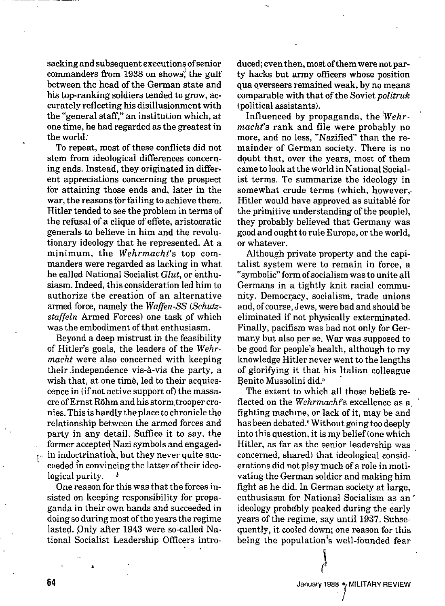sacking and subsequent executions of senior commanders from 1938 on shows, the gulf between the head of the German state and his top-ranking soldiers tended to grow, accurately reflecting his disillusionment with the "general staff," an institution which, at one time, he had regarded as the greatest in the world:

To repeat, most of these conflicts did not stem from ideological differences concerning ends. Instead, they originated in different appreciations concerning the prospect for attaining those ends and, later in the war, the reasons for failing to achieve them. Hitler tended to see the problem in terms of tbe refusal of a clique of effete, aristocratic generals to believe in him and the revolutionary ideology that he represented. At a minimum, the *Wehrmacht's* top commanders were regarded as lacking in what he called National Socialist Glut, or enthusiasm. Indeed, this consideration led him to authorize the creation of an alternative armed force, namely the Waffen-SS (Schutzstaffeln Armed Forces) one task of which was the embodiment of that enthusiasm.

Beyond a deep mistrust in the feasibility of Hitler's goals, the leaders of the *Wehr*macht were also concerned with keeping their independence vis-à-vis the party, a wish that, at one time, led to their acquiescence in (if not active support of) the massacre of Ernst Röhm and his storm trooper cronies. This is hardly the place to chronicle the relationship between the armed forces and party in any detail. Suffice it to say, the former accepted Nazi symbols and engaged- $\cdots$  in indoctrination, but they never quite succeeded in convincing the latter of their ideological purity.

One reason for this was that the forces insisted on keeping responsibility for propaganda in their own hands and succeeded in doing so during most of the years the regime lasted. Only after 1943 were so-called National Socialist Leadership Officers intro- .,

,

64

duced; even then, most of them were not party hacks but army officers whose position qua overseers remained weak, by no means comparable with that of the Soviet *politruk* (political assistants).

Influenced by propaganda, the *lWehr- '* macht's rank and file were probably no more, and no less, "Nazified" than the remainder of German society. There is no doubt that, over the years, most of them came to look at the world in National Socialist terms. Tc summarize the ideology in somewhat crude terms (which, however,-Hitler would have approved as suitable for the primitive understanding of the people), they probably believed that Germany was good and ought to rule Europe, or the world, or whatever.

Although private property and the capitalist system were to remain in force, a "symbolic" form of socialism was to unite all Germans in a tightly knit racial community. Democracy, socialism, trade unions and, of course, Jews, were bad and should be eliminated if not physically exterminated. Finally, pacifism was bad not only for Germany but also per se. War was supposed to be good for people's health, although to my knowledge Hitler never went to the lengths of glorifying it that his Italian colleague Benito Mussolini did.<sup>5</sup>

The extent to which all these beliefs reflected on the Wehrmacht's excellence as a fighting machme, or lack of it, maybe and has been debated.' Without going too deeply into this question, it is my belief (one which Hitler, as far as the senior leadership was . concerned, shared) that ideological considerations did not play much of a role in motivating the German soldier and making him tight as he did. In German society at large, enthusiasm for National Socialism as an ' ideology probably peaked during the early years of tbe regime, say until 1937. Subsequently, it cooled dom, one reason for this being the population's well-founded fear

I

January 1988 . MILITARY REVIEW

/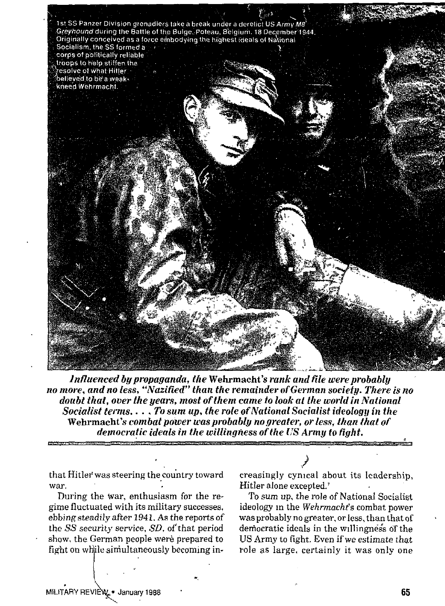

Influenced by propaganda, the Wehrmacht's rank and file were probably no more, and no less, "Nazified" than the remainder of German society. There is no doubt that, over the years, most of them came to look at the world in National Socialist terms.... To sum up, the role of National Socialist ideology in the Wehrmacht's combat power was probably no greater, or less, than that of democratic ideals in the willingness of the US Army to fight.

that Hitler' was steering the country toward war.

During the war, enthusiasm for the regime fluctuated with its military successes, ebbing steadily after 1943. As the reports of the SS *security* service, SD, of that period show, the German people were prepared to fight on while simultaneously becoming in-

1" -,

الم<br>أهم creasingly cynical about its leadership, Hitler alone excepted.'

To sum *up, the role of* National SociaIist ideoIogy m the *Wehrmachi's* combat power was probably no greater, or less, than that of ~ democratic ideals in the willingness of the US Army to fight. Even if we estimate that role as large, certainly it was only one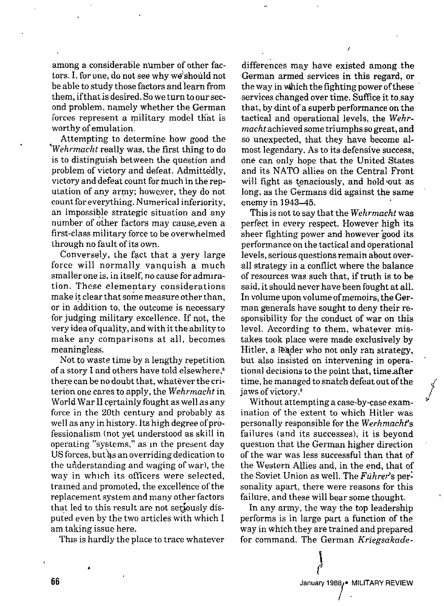among a considerable number of other factors. I, for one, do not see why we should not be able to study those factors and learn from them, if that is desired. So we turn to our second problem, namely whether the German forces represent a military model that is worthy of emulation.

Attempting to determine how good the *'Wehr-macht* really was, the first thing to do is to distinguish between the question and problem of vietory and defeat. Admittedly, victory and defeat count for much in the reputation of any army; howeyer, they do not count for everything. Numerical inferiority, an impossible strategic situation and any number of other factors may cause even a first-ciass military force to be overwhelmed through no fault of its own.

Conversely, the fact that a yery large force will normally vanquish a much smaller one is, in itself, no cause for admiration. These elementary considerations make it clear that some measure other than, or in addition to, the outcome is necessary for judging military excellence. If not, the very idea of quality, and with it the ability to make any comparisons at all, becomes meaningless.

Not to waste time by a lengthy repetition of a story I and others have told elsewhere.<sup>8</sup> there can be no doubt that, whatever the criterion one cares to apply, the Wehrmacht in World War II certainly fought as well as any force in the 20th century and probably as well as any in history. Its high degree of professionalism (not yet understood as skill in operating "systems," as in the present day US forces, but as an overriding dedication to the ufiderstanding and waging of war), the way in which its officers were selected, trained and promoted, the excellence of the replacement system and many other factors that led to this result are not seriously disputed even by the two articles with which I am taking issue here.

This is hardly the place to trace whatever

differences may have existed among the German armed services in this regard, or the way in Which the fighting power of these services changed over time. Suffice it to say that, by dint of a superb performance on the tactical and operational levels, the *Wehrnzacht* achieved some triumphs so great, and so unexpected, that they have become almost Iegendary. As to its defensive success, one can *only* hope that the United States and its NATO allies on the Central Front will fight as tenaciously, and hold out as long, as the Germans did against the same enemy in 1943-45.

,

This is not to say that the *Wehrmacht* was perfect in every respect. However high its sheer fighting power and however good its performance on the tactical and operational levels, serious questions remain about overall strategy in a conflict where the baIance of resources was such that, if truth is to be said, it should *never* have been fought at ail. In volume upon volume of memoirs, the German generais have sought to deny their responsibility for the conduct of war on this leveI. Arcording to them, whatever *mis*takes took place were made exclusively by Hitler, a IEader who not only ran strategy, but also insisted on intervening in operational decisions to the point that, time after time, he managed to snatch defeat out of the jaws of victory.'

Witbout attempting a case-by-case examination of the extent to which Hitler was personally responsible for the Werhmacht's failures (and its successes), it is beyond question that the German higher direction of the war was less successful than that of the Western Allies and, in the end, that of the Soviet Union as well. The Führer's personality apart, there were reasons for this failure, and these will bear some thought.

In any army, the way the top leadership performs is in large part a function of the way in which they are trained and prepared for command. The German *Kriegsakade-*



/

J

,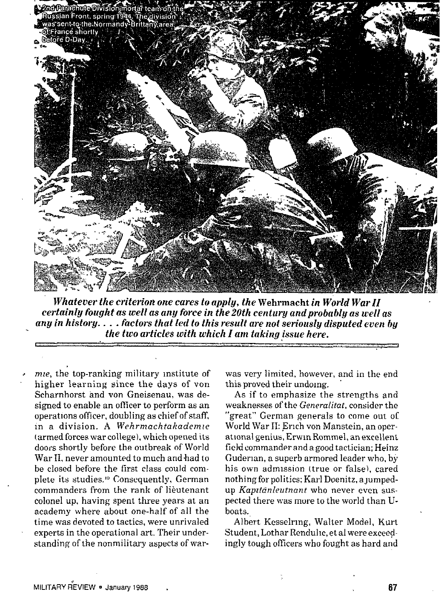

**Whatever** the criterion one cares to apply, the Wehrmacht in World War II *certainly fought as .mellas any force in the 20th century and probably as well as any in history. . . . factors that led to this result are not seriously disputed even by the two articles with which I am taking issue here. r #*

mie, the top-ranking military institute of higher learning since the days of von Scharnhorst and von Gneisenau, was designed to enable an ofticer to perform as an operations officer, doubling as chief of staff, In a division. A *Wehrmachtakademze* (armed forces war college), which opened its doors shortly before tbe outbreak of World War II, never amounted to much and had to be closed before the first class could complete its studies. '0 Consequently, German commanders from the rank of lieutenant colonel up, having spent three years at an academy where about one-half of all the time was devoted to tactics, were unrivaled experts in the operational art. Their understanding of the nonmilitary aspects of war-

was very limited, however, and in the end this proved their undoing.

As if to emphasize the strengths and weaknesses of the *Generalitat*, consider the "great" German generals to come out of World War II: Erich von Manstein, an operational genius, Erwin Rommel, an excellent field commander and a good tactician; Heinz Guderian, a superb armored leader who, by his own admission (true or false), cared nothing for politics; Karl Doenitz, a jumpedup Kapıtânleutnant who never even suspected there was more to the world than Uboats.

Albert Kesselrmg, Walter Model, Kurt Student, Lothar Rendullc, et al were exceedingly tough officers who fought as hard and

67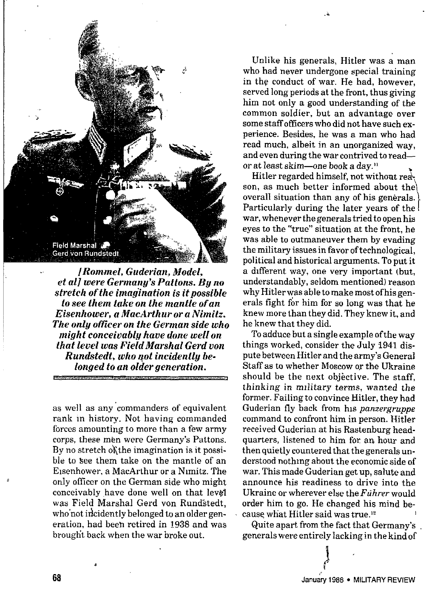

*IRommel, Guderian, Model, et al] were Germany's Pattons. Bg no stretch of the imagination is impossible to see them take on the mantle ofan Eisenhower, a MacArthurora Nimitz. The only oficer on the German side who might conceivably have done we[[ on that level was Field Marshal Gerd von Runaktedt, who qot incidentlg belonged to an older generation.*

as well as any commanders of equivalent rank in history. Not having commanded forces amounting to more than a few army corps, these men were Germany's Pattons. By no stretch of the imagination is it possible to see them take on the mantle of an Eisenhower, a MacArthur or a Nlmitz. The only olllcer *on* the German side who might conceivably have done well on that level was Field Marshal Gerd von Rundstedt. who'not incidently belonged to an older generation, had beeh retired in 1938 and was brought back when the war broke out.

Unlike his generals, Hitler was a man who had never undergone special training in the conduct of war. He had, however, served long periods at the front, thus giving him not only a good understanding of the common soIdier, but an advantage over some staff officers who did not have such experience. Besides, he was a man who had read much, albeit in an unorganized way, and even during the war contrived to read or at least skim—one book a day. 'i

..

Hitler regarded himself, not without *rea*~ *\* son, as much better informed about the overall situation than any of his generals. Particularly during the later years of the war, whenever the generals tried to open his eyes to the "true" situation at the front, he was able to outmaneuver them by evading the military issues in favor of technological, political and historical arguments. To put it a different way, one very important (but, understandably, seldom mentioned) reason why Hitler was able to make most of his generals fight for him for so long was that he knew more than they did. They knew it, and he knew that they did.

To adduce but a single exampIe of the way things worked, consider the July 1941 dispute between Hitler and the army's General Staff as to whether Moscow or the Ukraine should be the next objective. The staff, thinking in *military terms, wanted the* former. Failing to convince Hitler, they had Guderian fly back from hls *panzergruppe* command to confront him in person. Hitler received Guderian at his Rastenburg headquarters, listened to him for an hour and then quietly countered that the generals understood nothing about the economic side of war. This made Guderian get up, salute and announce his readiness to drive into the Ukraine or wherever else the *Führer* would order him to go. He changed his mind because what Hitler said was true.<sup>12</sup>

Quite apart from the fact that Germany's generals were entirely lacking in the kind of

t

,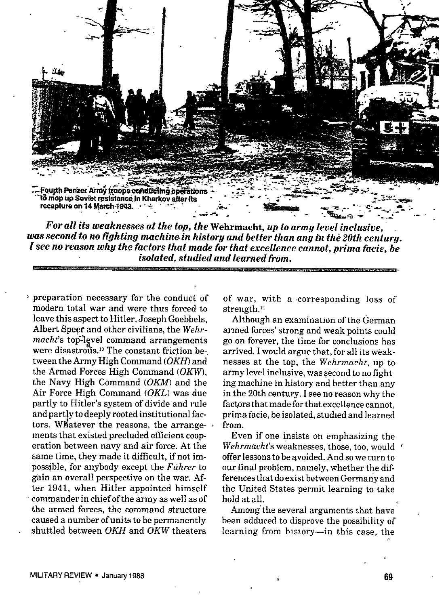

*For all its weaknesses af the top, fhe* Wehrmacht, *up to army level inclusive, was second to no fighting machine in history and better fhan any 1>the 20th century. I see no reason why the factors that made for that excellence cannot, prima facie, be isolated, stadied and learned from.*

~ preparation necessary for the conduct of modern total war and were thus forced to leave this aspect to Hitler, Joseph Goebbels, Albert Spepr and other civilians, the *Wehrmacht*'s top-level command arrangements were disastrous.<sup>13</sup> The constant friction between the Army High Command (OKH) and the Armed Forces High Command (OKW), the Navy High Command (OKM) and the Air Force High Command  $(OKL)$  was due partly to Hitler's system of divide and rule and partly to deeply rooted institutional factors. W#atever the reasons, the arrange- . ments that existed precluded efficient cooperation between navy and air force. At the same time, they made it difficult, if not impossible, for anybody except the *Fuhrer* to gain an overall perspective on the war. After 1941, when Hitler appointed himself commander in chief of the army as well as of the armed forces, the command structure caused a number of units to be permanently shuttled between *OKH* and OKW theaters

of war, with a corresponding loss of strength.<sup>14</sup>

Although an examination of the German armed forces' strong and weak points could go on forever, the time for conclusions has arrived. I would argue that, for all its weaknesses at the top, the *Wehrmacht,* up to army level inclusive, was second to no fighting machine in history and better than any in the 20th century, I see no reason why the factors that made for that excellence cannot, prima facie, be isolated, studied and learned from.

Even if one insists on emphasizing the *Wehrmacht's* weaknesses, those, too, would offer lessons to be avoided. And so we turn to our final problem, namely, whether the differences that do exist between Germariy and the United States permit learning to take hold at all.

Among the several arguments that have been adduced to disprove the possibility of learning from history—in this case, the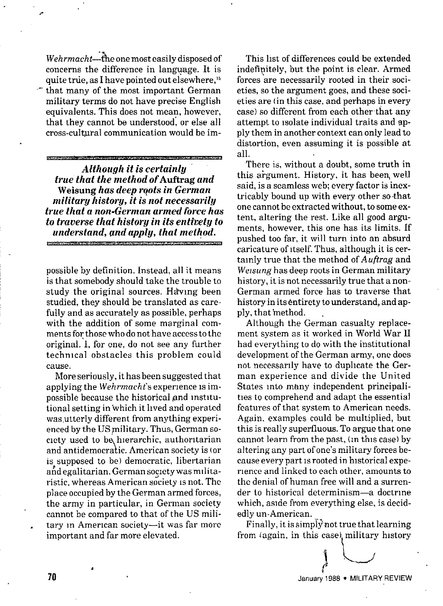*Wehrmacht*--the one most easily disposed of concerns the difference in language. It is quite true, as I have pointed out elsewhere," " that many of the most important German military terms do not have precise English equivalents. This does not mean, however, that they cannot be understood, or else all cross-cultural communication would be im-

,

*Although it is certainl~ true that the method of* **Auftrag***and* **Weisung** *has deep rqots in German militarg historg, it is not necessarily true that a non-German armed force has <i>traverse that history in its entirety to understand, gnd apply, that method. ?*

possible hy definition. Instead, all it means is that somebody should take the trouble to study the original sources. Having been studied, they should be translated as carefully and as accurately as possible, perhaps with the addition of some marginal comments for those who do not have access to the original. I, for one, do not see any further technical obstacles this problem could *cause.*

More seriously, it has been suggested that applying the *Wehrmacht*'s experience is impossible because the historical gmd institutional setting in 'which it hved and operated was utterly different from anything experienced by the US military. Thus, German society used to be hierarchic, authoritarian and antidemocratic. American society is (or is supposed to be) democratic, libertarian and egalitarian. German society was militaristic, whereas American society is not. The place occupied by tbe German armed forces, the army in particular, in German society cannot be compared to that of the US military in American society—it was far more important and far more elevated.

This list of differences could be extended indefinitely, but the point is clear. Armed forces are necessarily rooted in their societies, so the argument goes, and these societies are (in this case, and perhaps in every case) so different from each other that any attempt to isolate individual traits and apply them in another context can only lead to distortion, even assuming it is possible at all,

There is, without a doubt, some truth in this argument. History, it has been well said, is a seamless web; every factor is inextricably bound up with every other so that one cannot be extracted without, to some extent, altering the rest. Like all good arguments, however, this one has its limits. If pushed too far, it will turn into an absurd caricature of itself. Thus, although it is certainly true that the method of  $A$  *uftrag* and *Wetsung* has deep roots in German military history, it is not necessarily true that a non-German armed force has to traverse that history in its entirety to understand, and apply, that method.

Although the German casualty replacement system as it worked in World War II had everything to do with the institutional development of the German army, one does not necessarily have to duphcate the Ger man experience and divide the United<br>States into many independent principalities to comprehend and adapt the essential features of that system to American needs. Again, examples could be multiplied, but this is really superfluous. To argue that one cannot learn from the past, (In this case) by altering any part of one's military forces because every part is rooted in historical experience and linked to each other, amounts to the denial of human free will and a surrender to historical determinism—a doctrine which, aside from everything else, is decidedly un-American.

Finally, it is simply not true that learning from (again, in this case) military history

 $\bigcup$ 

\

\*